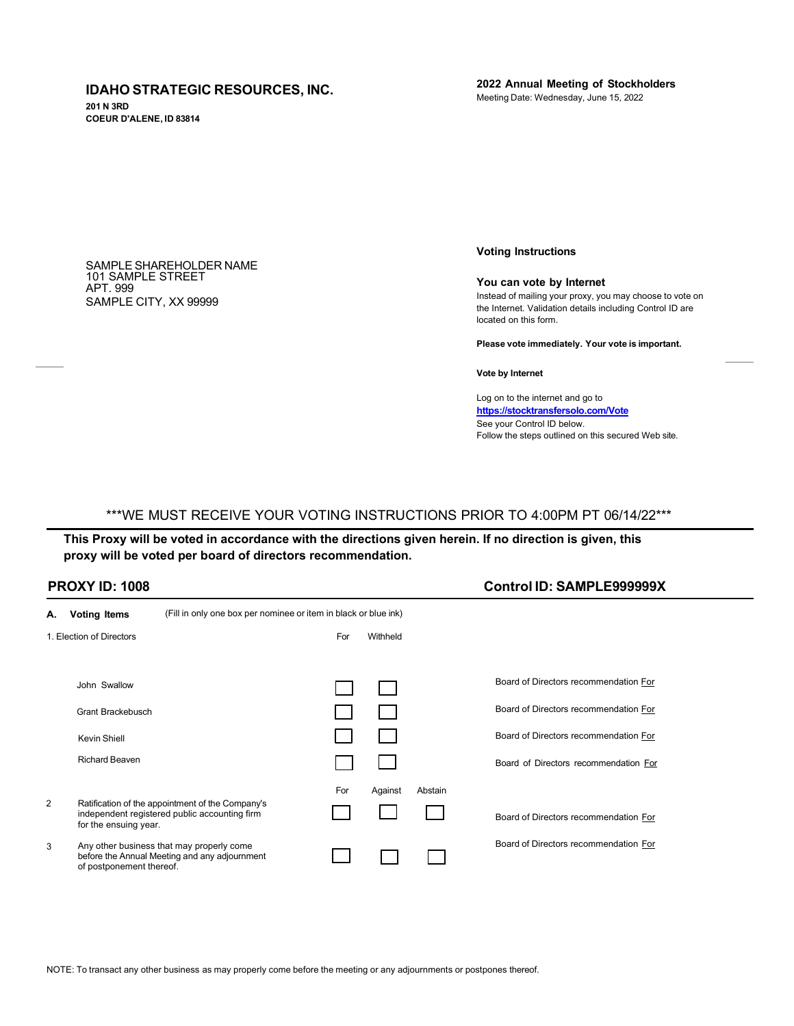## **IDAHO STRATEGIC RESOURCES, INC.**

**201 N 3RD COEUR D'ALENE, ID 83814** **2022 Annual Meeting of Stockholders** Meeting Date: Wednesday, June 15, 2022

SAMPLE SHAREHOLDER NAME 101 SAMPLE STREET APT. 999 SAMPLE CITY, XX 99999

**Voting Instructions**

#### **You can vote by Internet**

Instead of mailing your proxy, you may choose to vote on the Internet. Validation details including Control ID are located on this form.

**Please vote immediately. Your vote is important.**

**Vote by Internet**

Log on to the internet and go to **<https://stocktransfersolo.com/Vote>** See your Control ID below. Follow the steps outlined on this secured Web site.

**PROXY ID: 1008 Control ID: SAMPLE999999X**

# \*\*\*WE MUST RECEIVE YOUR VOTING INSTRUCTIONS PRIOR TO 4:00PM PT 06/14/22\*\*\*

This Proxy will be voted in accordance with the directions given herein. If no direction is given, this **proxy will be voted per board of directors recommendation.**

| <b>PROXY ID: 1008</b> |  |  |
|-----------------------|--|--|
|-----------------------|--|--|

| А.             | <b>Voting Items</b>      | (Fill in only one box per nominee or item in black or blue ink)                                   |     |          |         |                                       |
|----------------|--------------------------|---------------------------------------------------------------------------------------------------|-----|----------|---------|---------------------------------------|
|                | 1. Election of Directors |                                                                                                   | For | Withheld |         |                                       |
|                |                          |                                                                                                   |     |          |         |                                       |
|                | John Swallow             |                                                                                                   |     |          |         | Board of Directors recommendation For |
|                | Grant Brackebusch        |                                                                                                   |     |          |         | Board of Directors recommendation For |
|                | <b>Kevin Shiell</b>      |                                                                                                   |     |          |         | Board of Directors recommendation For |
|                | <b>Richard Beaven</b>    |                                                                                                   |     |          |         | Board of Directors recommendation For |
|                |                          |                                                                                                   | For | Against  | Abstain |                                       |
| $\overline{2}$ | for the ensuing year.    | Ratification of the appointment of the Company's<br>independent registered public accounting firm |     |          |         | Board of Directors recommendation For |
| 3              | of postponement thereof. | Any other business that may properly come<br>before the Annual Meeting and any adjournment        |     |          |         | Board of Directors recommendation For |